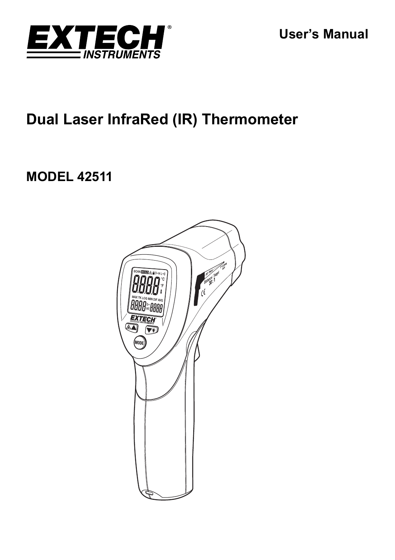

# **Dual Laser InfraRed (IR) Thermometer**

# **MODEL 42511**

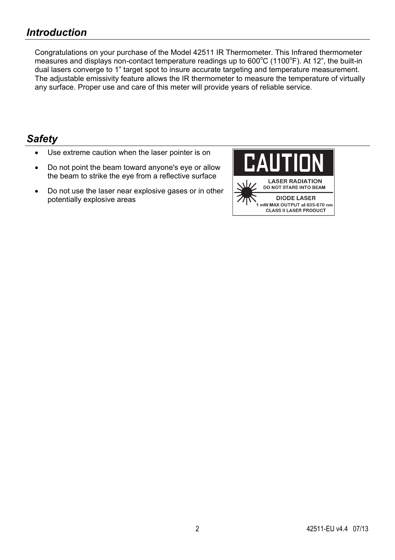Congratulations on your purchase of the Model 42511 IR Thermometer. This Infrared thermometer measures and displays non-contact temperature readings up to  $600^{\circ}$ C (1100 $^{\circ}$ F). At 12", the built-in dual lasers converge to 1" target spot to insure accurate targeting and temperature measurement. The adjustable emissivity feature allows the IR thermometer to measure the temperature of virtually any surface. Proper use and care of this meter will provide years of reliable service.

## *Safety*

- Use extreme caution when the laser pointer is on
- Do not point the beam toward anyone's eye or allow the beam to strike the eye from a reflective surface
- Do not use the laser near explosive gases or in other potentially explosive areas

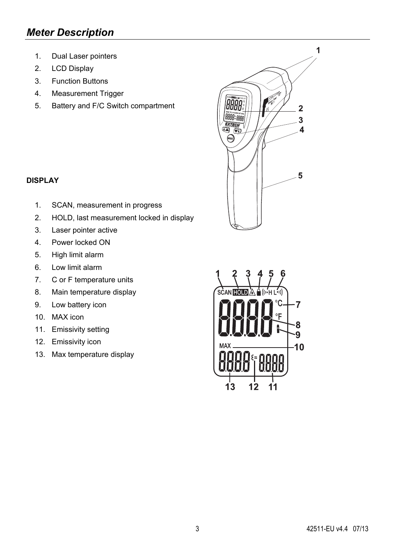## *Meter Description*

- 1. Dual Laser pointers
- 2. LCD Display
- 3. Function Buttons
- 4. Measurement Trigger
- 5. Battery and F/C Switch compartment

### **DISPLAY**

- 1. SCAN, measurement in progress
- 2. HOLD, last measurement locked in display
- 3. Laser pointer active
- 4. Power locked ON
- 5. High limit alarm
- 6. Low limit alarm
- 7. C or F temperature units
- 8. Main temperature display
- 9. Low battery icon
- 10. MAX icon
- 11. Emissivity setting
- 12. Emissivity icon
- 13. Max temperature display



 $\overline{\mathbf{1}}$ 

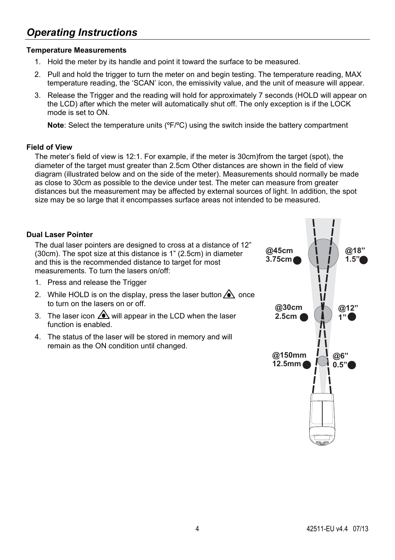## *Operating Instructions*

### **Temperature Measurements**

- 1. Hold the meter by its handle and point it toward the surface to be measured.
- 2. Pull and hold the trigger to turn the meter on and begin testing. The temperature reading, MAX temperature reading, the 'SCAN' icon, the emissivity value, and the unit of measure will appear.
- 3. Release the Trigger and the reading will hold for approximately 7 seconds (HOLD will appear on the LCD) after which the meter will automatically shut off. The only exception is if the LOCK mode is set to ON.

**Note**: Select the temperature units (ºF/ºC) using the switch inside the battery compartment

### **Field of View**

The meter's field of view is 12:1. For example, if the meter is 30cm)from the target (spot), the diameter of the target must greater than 2.5cm Other distances are shown in the field of view diagram (illustrated below and on the side of the meter). Measurements should normally be made as close to 30cm as possible to the device under test. The meter can measure from greater distances but the measurement may be affected by external sources of light. In addition, the spot size may be so large that it encompasses surface areas not intended to be measured.

### **Dual Laser Pointer**

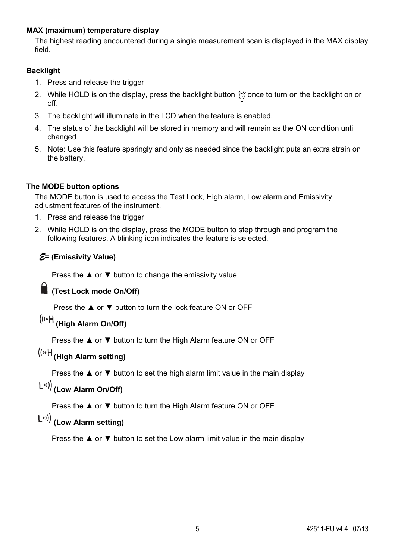### **MAX (maximum) temperature display**

The highest reading encountered during a single measurement scan is displayed in the MAX display field.

### **Backlight**

- 1. Press and release the trigger
- 2. While HOLD is on the display, press the backlight button  $\frac{1}{100}$  once to turn on the backlight on or off.
- 3. The backlight will illuminate in the LCD when the feature is enabled.
- 4. The status of the backlight will be stored in memory and will remain as the ON condition until changed.
- 5. Note: Use this feature sparingly and only as needed since the backlight puts an extra strain on the battery.

### **The MODE button options**

The MODE button is used to access the Test Lock, High alarm, Low alarm and Emissivity adjustment features of the instrument.

- 1. Press and release the trigger
- 2. While HOLD is on the display, press the MODE button to step through and program the following features. A blinking icon indicates the feature is selected.

### *E***= (Emissivity Value)**

Press the  $\triangle$  or  $\nabla$  button to change the emissivity value

### **(Test Lock mode On/Off)**

Press the ▲ or ▼ button to turn the lock feature ON or OFF

# **(High Alarm On/Off)**

Press the **▲** or  $\blacktriangledown$  button to turn the High Alarm feature ON or OFF

# **(High Alarm setting)**

Press the ▲ or ▼ button to set the high alarm limit value in the main display

# **(Low Alarm On/Off)**

Press the **▲** or  $\blacktriangledown$  button to turn the High Alarm feature ON or OFF

## **(Low Alarm setting)**

Press the  $\blacktriangle$  or  $\nabla$  button to set the Low alarm limit value in the main display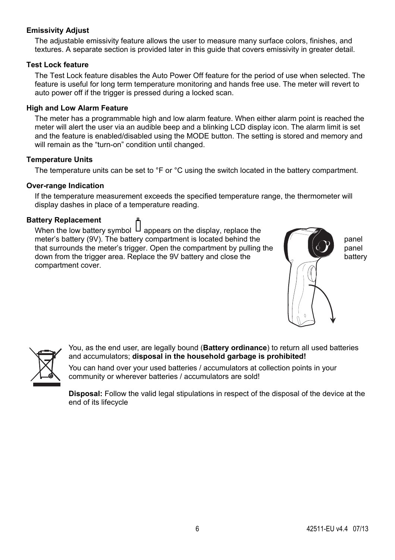### **Emissivity Adjust**

The adjustable emissivity feature allows the user to measure many surface colors, finishes, and textures. A separate section is provided later in this guide that covers emissivity in greater detail.

#### **Test Lock feature**

The Test Lock feature disables the Auto Power Off feature for the period of use when selected. The feature is useful for long term temperature monitoring and hands free use. The meter will revert to auto power off if the trigger is pressed during a locked scan.

### **High and Low Alarm Feature**

The meter has a programmable high and low alarm feature. When either alarm point is reached the meter will alert the user via an audible beep and a blinking LCD display icon. The alarm limit is set and the feature is enabled/disabled using the MODE button. The setting is stored and memory and will remain as the "turn-on" condition until changed.

#### **Temperature Units**

The temperature units can be set to °F or °C using the switch located in the battery compartment.

#### **Over-range Indication**

If the temperature measurement exceeds the specified temperature range, the thermometer will display dashes in place of a temperature reading.

#### **Battery Replacement**

When the low battery symbol  $\Box$  appears on the display, replace the meter's battery (9V). The battery compartment is located behind the panel that surrounds the meter's trigger. Open the compartment by pulling the **panel**  $\bullet$  **panel** down from the trigger area. Replace the 9V battery and close the **battery** compartment cover.





You, as the end user, are legally bound (**Battery ordinance**) to return all used batteries and accumulators; **disposal in the household garbage is prohibited!**

You can hand over your used batteries / accumulators at collection points in your community or wherever batteries / accumulators are sold!

**Disposal:** Follow the valid legal stipulations in respect of the disposal of the device at the end of its lifecycle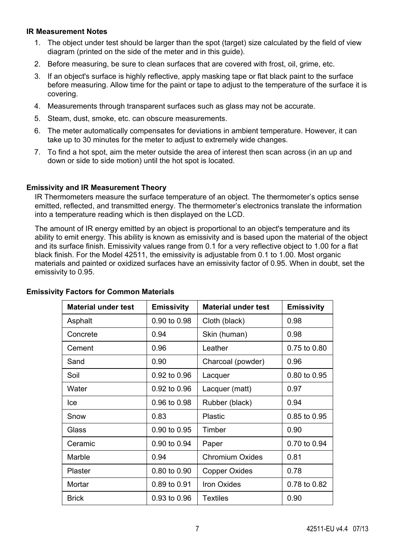### **IR Measurement Notes**

- 1. The object under test should be larger than the spot (target) size calculated by the field of view diagram (printed on the side of the meter and in this guide).
- 2. Before measuring, be sure to clean surfaces that are covered with frost, oil, grime, etc.
- 3. If an object's surface is highly reflective, apply masking tape or flat black paint to the surface before measuring. Allow time for the paint or tape to adjust to the temperature of the surface it is covering.
- 4. Measurements through transparent surfaces such as glass may not be accurate.
- 5. Steam, dust, smoke, etc. can obscure measurements.
- 6. The meter automatically compensates for deviations in ambient temperature. However, it can take up to 30 minutes for the meter to adjust to extremely wide changes.
- 7. To find a hot spot, aim the meter outside the area of interest then scan across (in an up and down or side to side motion) until the hot spot is located.

### **Emissivity and IR Measurement Theory**

IR Thermometers measure the surface temperature of an object. The thermometer's optics sense emitted, reflected, and transmitted energy. The thermometer's electronics translate the information into a temperature reading which is then displayed on the LCD.

The amount of IR energy emitted by an object is proportional to an object's temperature and its ability to emit energy. This ability is known as emissivity and is based upon the material of the object and its surface finish. Emissivity values range from 0.1 for a very reflective object to 1.00 for a flat black finish. For the Model 42511, the emissivity is adjustable from 0.1 to 1.00. Most organic materials and painted or oxidized surfaces have an emissivity factor of 0.95. When in doubt, set the emissivity to 0.95.

| <b>Material under test</b> | <b>Emissivity</b> | <b>Material under test</b> | <b>Emissivity</b> |
|----------------------------|-------------------|----------------------------|-------------------|
| Asphalt                    | 0.90 to 0.98      | Cloth (black)              | 0.98              |
| Concrete                   | 0.94              | Skin (human)               | 0.98              |
| Cement                     | 0.96              | Leather                    | 0.75 to 0.80      |
| Sand                       | 0.90              | Charcoal (powder)          | 0.96              |
| Soil                       | 0.92 to 0.96      | Lacquer                    | 0.80 to 0.95      |
| Water                      | 0.92 to 0.96      | Lacquer (matt)             | 0.97              |
| lce                        | 0.96 to 0.98      | Rubber (black)             | 0.94              |
| Snow                       | 0.83              | Plastic                    | 0.85 to 0.95      |
| Glass                      | 0.90 to 0.95      | Timber                     | 0.90              |
| Ceramic                    | 0.90 to 0.94      | Paper                      | 0.70 to 0.94      |
| Marble                     | 0.94              | Chromium Oxides            | 0.81              |
| Plaster                    | 0.80 to 0.90      | Copper Oxides              | 0.78              |
| Mortar                     | 0.89 to 0.91      | <b>Iron Oxides</b>         | 0.78 to 0.82      |
| <b>Brick</b>               | 0.93 to 0.96      | Textiles                   | 0.90              |

### **Emissivity Factors for Common Materials**